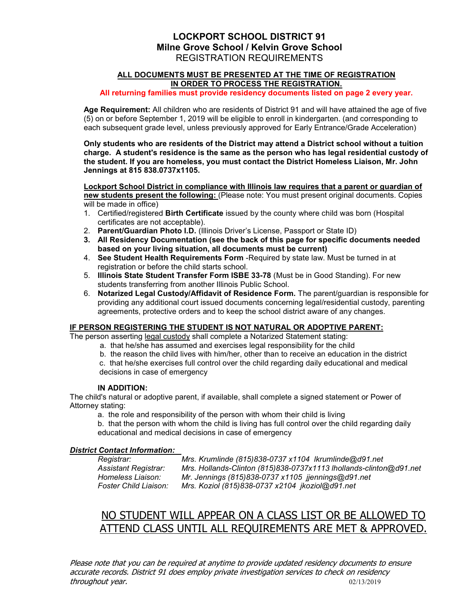## LOCKPORT SCHOOL DISTRICT 91 Milne Grove School / Kelvin Grove School REGISTRATION REQUIREMENTS

#### ALL DOCUMENTS MUST BE PRESENTED AT THE TIME OF REGISTRATION IN ORDER TO PROCESS THE REGISTRATION.

All returning families must provide residency documents listed on page 2 every year.

Age Requirement: All children who are residents of District 91 and will have attained the age of five (5) on or before September 1, 2019 will be eligible to enroll in kindergarten. (and corresponding to each subsequent grade level, unless previously approved for Early Entrance/Grade Acceleration)

Only students who are residents of the District may attend a District school without a tuition charge. A student's residence is the same as the person who has legal residential custody of the student. If you are homeless, you must contact the District Homeless Liaison, Mr. John Jennings at 815 838.0737x1105.

Lockport School District in compliance with Illinois law requires that a parent or guardian of new students present the following: (Please note: You must present original documents. Copies will be made in office)

- 1. Certified/registered Birth Certificate issued by the county where child was born (Hospital certificates are not acceptable).
- 2. Parent/Guardian Photo I.D. (Illinois Driver's License, Passport or State ID)
- 3. All Residency Documentation (see the back of this page for specific documents needed based on your living situation, all documents must be current)
- 4. See Student Health Requirements Form -Required by state law. Must be turned in at registration or before the child starts school.
- 5. Illinois State Student Transfer Form ISBE 33-78 (Must be in Good Standing). For new students transferring from another Illinois Public School.
- 6. Notarized Legal Custody/Affidavit of Residence Form. The parent/guardian is responsible for providing any additional court issued documents concerning legal/residential custody, parenting agreements, protective orders and to keep the school district aware of any changes.

#### IF PERSON REGISTERING THE STUDENT IS NOT NATURAL OR ADOPTIVE PARENT:

The person asserting legal custody shall complete a Notarized Statement stating:

- a. that he/she has assumed and exercises legal responsibility for the child
- b. the reason the child lives with him/her, other than to receive an education in the district

c. that he/she exercises full control over the child regarding daily educational and medical decisions in case of emergency

## IN ADDITION:

The child's natural or adoptive parent, if available, shall complete a signed statement or Power of Attorney stating:

a. the role and responsibility of the person with whom their child is living

b. that the person with whom the child is living has full control over the child regarding daily educational and medical decisions in case of emergency

## District Contact Information:

Registrar: Mrs. Krumlinde (815)838-0737 x1104 lkrumlinde@d91.net Assistant Registrar: Mrs. Hollands-Clinton (815)838-0737x1113 lhollands-clinton@d91.net Homeless Liaison: Mr. Jennings (815)838-0737 x1105 jjennings@d91.net Mrs. Koziol (815)838-0737 x2104 jkoziol@d91.net

# NO STUDENT WILL APPEAR ON A CLASS LIST OR BE ALLOWED TO ATTEND CLASS UNTIL ALL REQUIREMENTS ARE MET & APPROVED.

Please note that you can be required at anytime to provide updated residency documents to ensure accurate records. District 91 does employ private investigation services to check on residency throughout year. 02/13/2019